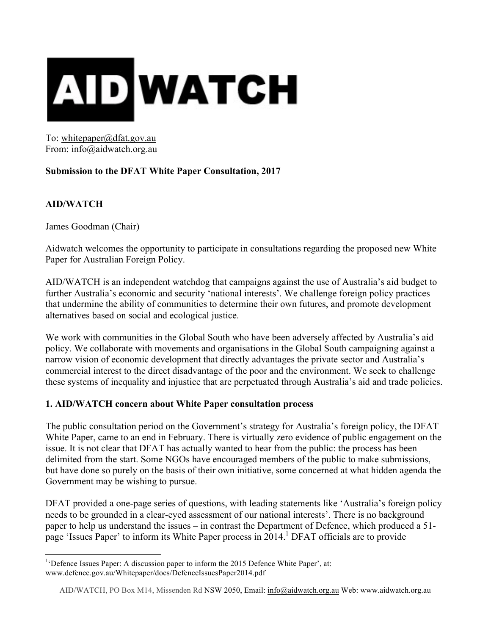

To: whitepaper@dfat.gov.au From: info@aidwatch.org.au

# **Submission to the DFAT White Paper Consultation, 2017**

## **AID/WATCH**

James Goodman (Chair)

Aidwatch welcomes the opportunity to participate in consultations regarding the proposed new White Paper for Australian Foreign Policy.

AID/WATCH is an independent watchdog that campaigns against the use of Australia's aid budget to further Australia's economic and security 'national interests'. We challenge foreign policy practices that undermine the ability of communities to determine their own futures, and promote development alternatives based on social and ecological justice.

We work with communities in the Global South who have been adversely affected by Australia's aid policy. We collaborate with movements and organisations in the Global South campaigning against a narrow vision of economic development that directly advantages the private sector and Australia's commercial interest to the direct disadvantage of the poor and the environment. We seek to challenge these systems of inequality and injustice that are perpetuated through Australia's aid and trade policies.

## **1. AID/WATCH concern about White Paper consultation process**

The public consultation period on the Government's strategy for Australia's foreign policy, the DFAT White Paper, came to an end in February. There is virtually zero evidence of public engagement on the issue. It is not clear that DFAT has actually wanted to hear from the public: the process has been delimited from the start. Some NGOs have encouraged members of the public to make submissions, but have done so purely on the basis of their own initiative, some concerned at what hidden agenda the Government may be wishing to pursue.

DFAT provided a one-page series of questions, with leading statements like 'Australia's foreign policy needs to be grounded in a clear-eyed assessment of our national interests'. There is no background paper to help us understand the issues – in contrast the Department of Defence, which produced a 51 page 'Issues Paper' to inform its White Paper process in 2014.<sup>1</sup> DFAT officials are to provide

 <sup>1</sup> 'Defence Issues Paper: A discussion paper to inform the 2015 Defence White Paper', at: www.defence.gov.au/Whitepaper/docs/DefenceIssuesPaper2014.pdf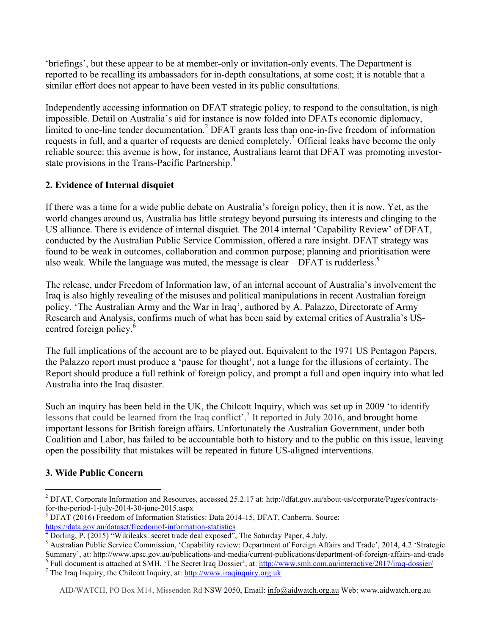'briefings', but these appear to be at member-only or invitation-only events. The Department is reported to be recalling its ambassadors for in-depth consultations, at some cost; it is notable that a similar effort does not appear to have been vested in its public consultations.

Independently accessing information on DFAT strategic policy, to respond to the consultation, is nigh impossible. Detail on Australia's aid for instance is now folded into DFATs economic diplomacy, limited to one-line tender documentation. <sup>2</sup> DFAT grants less than one-in-five freedom of information requests in full, and a quarter of requests are denied completely.<sup>3</sup> Official leaks have become the only reliable source: this avenue is how, for instance, Australians learnt that DFAT was promoting investorstate provisions in the Trans-Pacific Partnership.<sup>4</sup>

# **2. Evidence of Internal disquiet**

If there was a time for a wide public debate on Australia's foreign policy, then it is now. Yet, as the world changes around us, Australia has little strategy beyond pursuing its interests and clinging to the US alliance. There is evidence of internal disquiet. The 2014 internal 'Capability Review' of DFAT, conducted by the Australian Public Service Commission, offered a rare insight. DFAT strategy was found to be weak in outcomes, collaboration and common purpose; planning and prioritisation were also weak. While the language was muted, the message is clear  $-$  DFAT is rudderless.<sup>5</sup>

The release, under Freedom of Information law, of an internal account of Australia's involvement the Iraq is also highly revealing of the misuses and political manipulations in recent Australian foreign policy. 'The Australian Army and the War in Iraq', authored by A. Palazzo, Directorate of Army Research and Analysis, confirms much of what has been said by external critics of Australia's UScentred foreign policy.<sup>6</sup>

The full implications of the account are to be played out. Equivalent to the 1971 US Pentagon Papers, the Palazzo report must produce a 'pause for thought', not a lunge for the illusions of certainty. The Report should produce a full rethink of foreign policy, and prompt a full and open inquiry into what led Australia into the Iraq disaster.

Such an inquiry has been held in the UK, the Chilcott Inquiry, which was set up in 2009 'to identify lessons that could be learned from the Iraq conflict'.<sup>7</sup> It reported in July 2016, and brought home important lessons for British foreign affairs. Unfortunately the Australian Government, under both Coalition and Labor, has failed to be accountable both to history and to the public on this issue, leaving open the possibility that mistakes will be repeated in future US-aligned interventions.

# **3. Wide Public Concern**

<sup>&</sup>lt;sup>2</sup> DFAT, Corporate Information and Resources, accessed 25.2.17 at: http://dfat.gov.au/about-us/corporate/Pages/contractsfor-the-period-1-july-2014-30-june-2015.aspx<br><sup>3</sup> DFAT (2016) Freedom of Information Statistics: Data 2014-15, DFAT, Canberra. Source:

https://data.gov.au/dataset/freedomof-information-statistics  $\frac{4}{4}$  Dorling, P. (2015) "Wikileaks: secret trade deal exposed", The Saturday Paper, 4 July.

<sup>&</sup>lt;sup>5</sup> Australian Public Service Commission, 'Capability review: Department of Foreign Affairs and Trade', 2014, 4.2 'Strategic Summary', at: http://www.apsc.gov.au/publications-and-media/current-publications/department-of-fo

<sup>&</sup>lt;sup>6</sup> Full document is attached at SMH, 'The Secret Iraq Dossier', at:  $\frac{http://www.smh.com.au/interactive/2017/iraq-dossier/}{$ <br><sup>7</sup> The Iraq Inquiry, the Chilcott Inquiry, at:  $\frac{http://www.raqinquiry.org.uk}{http://www.raqinquiry.org.uk}$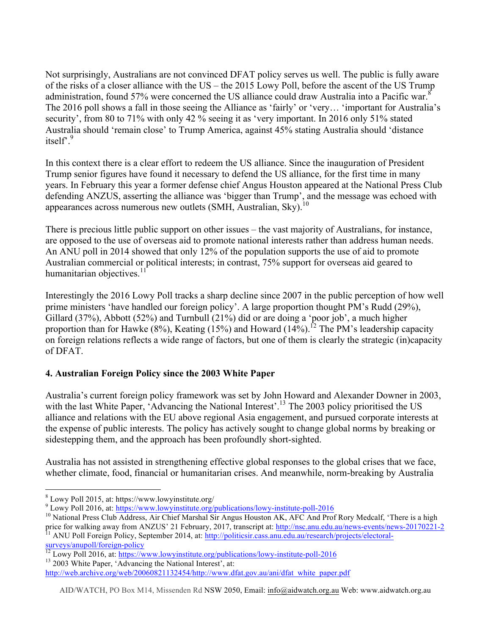Not surprisingly, Australians are not convinced DFAT policy serves us well. The public is fully aware of the risks of a closer alliance with the US – the 2015 Lowy Poll, before the ascent of the US Trump administration, found 57% were concerned the US alliance could draw Australia into a Pacific war.<sup>8</sup> The 2016 poll shows a fall in those seeing the Alliance as 'fairly' or 'very… 'important for Australia's security', from 80 to 71% with only 42 % seeing it as 'very important. In 2016 only 51% stated Australia should 'remain close' to Trump America, against 45% stating Australia should 'distance itself<sup>9</sup>

In this context there is a clear effort to redeem the US alliance. Since the inauguration of President Trump senior figures have found it necessary to defend the US alliance, for the first time in many years. In February this year a former defense chief Angus Houston appeared at the National Press Club defending ANZUS, asserting the alliance was 'bigger than Trump', and the message was echoed with appearances across numerous new outlets  $(SMH, Australian, Sky)$ <sup>10</sup>

There is precious little public support on other issues – the vast majority of Australians, for instance, are opposed to the use of overseas aid to promote national interests rather than address human needs. An ANU poll in 2014 showed that only 12% of the population supports the use of aid to promote Australian commercial or political interests; in contrast, 75% support for overseas aid geared to humanitarian objectives. $11$ 

Interestingly the 2016 Lowy Poll tracks a sharp decline since 2007 in the public perception of how well prime ministers 'have handled our foreign policy'. A large proportion thought PM's Rudd (29%), Gillard (37%), Abbott (52%) and Turnbull (21%) did or are doing a 'poor job', a much higher proportion than for Hawke  $(8\%)$ , Keating  $(15\%)$  and Howard  $(14\%)$ .<sup>12</sup> The PM's leadership capacity on foreign relations reflects a wide range of factors, but one of them is clearly the strategic (in)capacity of DFAT.

# **4. Australian Foreign Policy since the 2003 White Paper**

Australia's current foreign policy framework was set by John Howard and Alexander Downer in 2003, with the last White Paper, 'Advancing the National Interest'.<sup>13</sup> The 2003 policy prioritised the US alliance and relations with the EU above regional Asia engagement, and pursued corporate interests at the expense of public interests. The policy has actively sought to change global norms by breaking or sidestepping them, and the approach has been profoundly short-sighted.

Australia has not assisted in strengthening effective global responses to the global crises that we face, whether climate, food, financial or humanitarian crises. And meanwhile, norm-breaking by Australia

 $8$  Lowy Poll 2015, at: https://www.lowyinstitute.org/<br> $9$  Lowy Poll 2016, at: https://www.lowyinstitute.org/publications/lowy-institute-poll-2016

<sup>&</sup>lt;sup>10</sup> National Press Club Address, Air Chief Marshal Sir Angus Houston AK, AFC And Prof Rory Medcalf, 'There is a high price for walking away from ANZUS' 21 February, 2017, transcript at: http://nsc.anu.edu.au/news-events/news-20170221-2<br><sup>11</sup> ANU Poll Foreign Policy, September 2014, at: http://politicsir.cass.anu.edu.au/research/projects/e

surveys/anupoll/foreign-policy<br><sup>12</sup> Lowy Poll 2016, at: https://www.lowyinstitute.org/publications/lowy-institute-poll-2016<br><sup>13</sup> 2003 White Paper, 'Advancing the National Interest', at:

http://web.archive.org/web/20060821132454/http://www.dfat.gov.au/ani/dfat\_white\_paper.pdf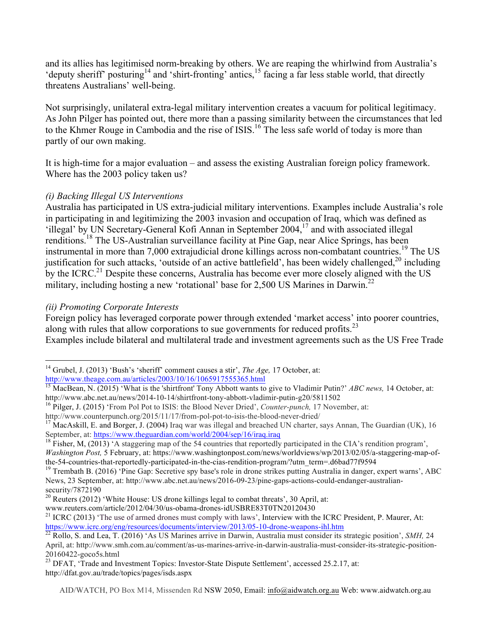and its allies has legitimised norm-breaking by others. We are reaping the whirlwind from Australia's 'deputy sheriff' posturing<sup>14</sup> and 'shirt-fronting' antics,<sup>15</sup> facing a far less stable world, that directly threatens Australians' well-being.

Not surprisingly, unilateral extra-legal military intervention creates a vacuum for political legitimacy. As John Pilger has pointed out, there more than a passing similarity between the circumstances that led to the Khmer Rouge in Cambodia and the rise of ISIS.<sup>16</sup> The less safe world of today is more than partly of our own making.

It is high-time for a major evaluation – and assess the existing Australian foreign policy framework. Where has the 2003 policy taken us?

#### *(i) Backing Illegal US Interventions*

Australia has participated in US extra-judicial military interventions. Examples include Australia's role in participating in and legitimizing the 2003 invasion and occupation of Iraq, which was defined as 'illegal' by UN Secretary-General Kofi Annan in September 2004, <sup>17</sup> and with associated illegal renditions.18 The US-Australian surveillance facility at Pine Gap, near Alice Springs, has been instrumental in more than 7,000 extrajudicial drone killings across non-combatant countries. <sup>19</sup> The US justification for such attacks, 'outside of an active battlefield', has been widely challenged,<sup>20</sup> including by the ICRC.<sup>21</sup> Despite these concerns, Australia has become ever more closely aligned with the US military, including hosting a new 'rotational' base for  $2,500$  US Marines in Darwin.<sup>22</sup>

## *(ii) Promoting Corporate Interests*

Foreign policy has leveraged corporate power through extended 'market access' into poorer countries, along with rules that allow corporations to sue governments for reduced profits.<sup>23</sup>

Examples include bilateral and multilateral trade and investment agreements such as the US Free Trade

<sup>&</sup>lt;sup>14</sup> Grubel, J. (2013) 'Bush's 'sheriff' comment causes a stir', *The Age*, 17 October, at: http://www.theage.com.au/articles/2003/10/16/1065917555365.html

<sup>&</sup>lt;sup>15</sup> MacBean, N. (2015) 'What is the 'shirtfront' Tony Abbott wants to give to Vladimir Putin?' *ABC news*, 14 October, at:

http://www.abc.net.au/news/2014-10-14/shirtfront-tony-abbott-vladimir-putin-g20/5811502<br><sup>16</sup> Pilger, J. (2015) 'From Pol Pot to ISIS: the Blood Never Dried', *Counter-punch*, 17 November, at:<br>http://www.counterpunch.org/20

<sup>&</sup>lt;sup>17</sup> MacAskill, E. and Borger, J. (2004) Iraq war was illegal and breached UN charter, says Annan, The Guardian (UK), 16 September, at: https://www.theguardian.com/world/2004/sep/16/iraq.iraq<br><sup>18</sup> Fisher, M, (2013) 'A staggering map of the 54 countries that reportedly participated in the CIA's rendition program',

*Washington Post,* 5 February, at: https://www.washingtonpost.com/news/worldviews/wp/2013/02/05/a-staggering-map-ofthe-54-countries-that-reportedly-participated-in-the-cias-rendition-program/?utm\_term=.d6bad77f9594<br><sup>19</sup> Trembath B. (2016) 'Pine Gap: Secretive spy base's role in drone strikes putting Australia in danger, expert warns',

News, 23 September, at: http://www.abc.net.au/news/2016-09-23/pine-gaps-actions-could-endanger-australiansecurity/7872190

 $20$  Reuters (2012) 'White House: US drone killings legal to combat threats', 30 April, at:

www.reuters.com/article/2012/04/30/us-obama-drones-idUSBRE83T0TN20120430<br><sup>21</sup> ICRC (2013) 'The use of armed drones must comply with laws', Interview with the ICRC President, P. Maurer, At:<br>https://www.icrc.org/eng/resource

 $\frac{22}{22}$  Rollo, S. and Lea, T. (2016) 'As US Marines arrive in Darwin, Australia must consider its strategic position', *SMH*, 24 April, at: http://www.smh.com.au/comment/as-us-marines-arrive-in-darwin-australia-must-consider-its-strategic-position-20160422-goco5s.html

<sup>&</sup>lt;sup>23</sup> DFAT, 'Trade and Investment Topics: Investor-State Dispute Settlement', accessed 25.2.17, at: http://dfat.gov.au/trade/topics/pages/isds.aspx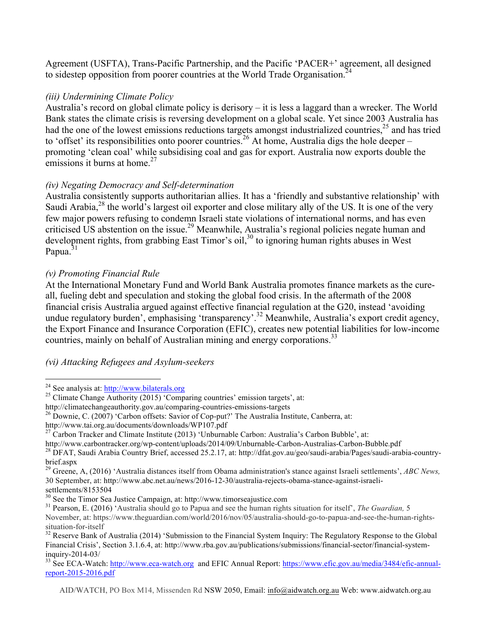Agreement (USFTA), Trans-Pacific Partnership, and the Pacific 'PACER+' agreement, all designed to sidestep opposition from poorer countries at the World Trade Organisation.<sup>24</sup>

#### *(iii) Undermining Climate Policy*

Australia's record on global climate policy is derisory – it is less a laggard than a wrecker. The World Bank states the climate crisis is reversing development on a global scale. Yet since 2003 Australia has had the one of the lowest emissions reductions targets amongst industrialized countries,  $25$  and has tried to 'offset' its responsibilities onto poorer countries.<sup>26</sup> At home, Australia digs the hole deeper – promoting 'clean coal' while subsidising coal and gas for export. Australia now exports double the emissions it burns at home.<sup>27</sup>

## *(iv) Negating Democracy and Self-determination*

Australia consistently supports authoritarian allies. It has a 'friendly and substantive relationship' with Saudi Arabia,<sup>28</sup> the world's largest oil exporter and close military ally of the US. It is one of the very few major powers refusing to condemn Israeli state violations of international norms, and has even criticised US abstention on the issue.<sup>29</sup> Meanwhile, Australia's regional policies negate human and development rights, from grabbing East Timor's oil,  $30$  to ignoring human rights abuses in West Papua.<sup>31</sup>

## *(v) Promoting Financial Rule*

At the International Monetary Fund and World Bank Australia promotes finance markets as the cureall, fueling debt and speculation and stoking the global food crisis. In the aftermath of the 2008 financial crisis Australia argued against effective financial regulation at the G20, instead 'avoiding undue regulatory burden', emphasising 'transparency'.<sup>32</sup> Meanwhile, Australia's export credit agency, the Export Finance and Insurance Corporation (EFIC), creates new potential liabilities for low-income countries, mainly on behalf of Australian mining and energy corporations.<sup>33</sup>

## *(vi) Attacking Refugees and Asylum-seekers*

<sup>&</sup>lt;sup>24</sup> See analysis at:  $\frac{http://www.bilaterals.org}{http://climateChange}$ <br><sup>25</sup> Climate Change Authority (2015) 'Comparing countries' emission targets', at:<br>http://climatechangeauthority.gov.au/comparing-countries-emissions-targets

<sup>&</sup>lt;sup>26</sup> Downie, C. (2007) 'Carbon offsets: Savior of Cop-put?' The Australia Institute, Canberra, at:<br>http://www.tai.org.au/documents/downloads/WP107.pdf

<sup>&</sup>lt;sup>27</sup> Carbon Tracker and Climate Institute (2013) 'Unburnable Carbon: Australia's Carbon Bubble', at:<br>http://www.carbontracker.org/wp-content/uploads/2014/09/Unburnable-Carbon-Australias-Carbon-Bubble.pdf

<sup>&</sup>lt;sup>28</sup> DFAT, Saudi Arabia Country Brief, accessed 25.2.17, at: http://dfat.gov.au/geo/saudi-arabia/Pages/saudi-arabia-countrybrief.aspx

<sup>29</sup> Greene, A, (2016) 'Australia distances itself from Obama administration's stance against Israeli settlements', *ABC News,* 30 September, at: http://www.abc.net.au/news/2016-12-30/australia-rejects-obama-stance-against-israeli-

settlements/8153504<br><sup>30</sup> See the Timor Sea Justice Campaign, at: http://www.timorseajustice.com

<sup>&</sup>lt;sup>31</sup> Pearson, E. (2016) 'Australia should go to Papua and see the human rights situation for itself', *The Guardian*, 5 November, at: https://www.theguardian.com/world/2016/nov/05/australia-should-go-to-papua-and-see-the-human-rights-

 $32$  Reserve Bank of Australia (2014) 'Submission to the Financial System Inquiry: The Regulatory Response to the Global Financial Crisis', Section 3.1.6.4, at: http://www.rba.gov.au/publications/submissions/financial-sector/financial-system-<br>inquiry-2014-03/

<sup>&</sup>lt;sup>33</sup> See ECA-Watch: http://www.eca-watch.org and EFIC Annual Report: https://www.efic.gov.au/media/3484/efic-annualreport-2015-2016.pdf